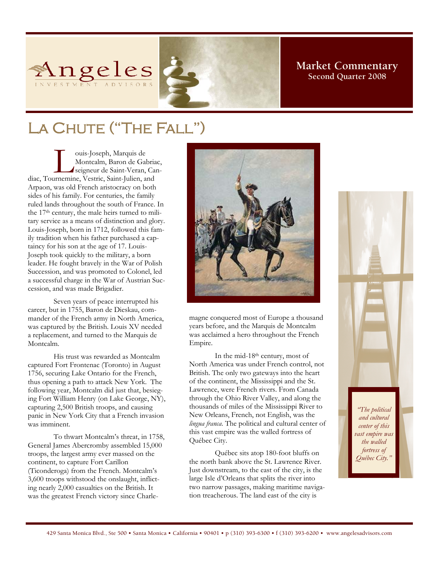

## **Market Commentary Second Quarter 2008**

# LA CHUTE ("THE FALL")

ouis-Joseph, Marquis de<br>
Montcalm, Baron de Gabria<br>
seigneur de Saint-Veran, Ca<br>
diac, Tournemine, Vestric, Saint-Julien, and Montcalm, Baron de Gabriac, seigneur de Saint-Veran, Can-Arpaon, was old French aristocracy on both sides of his family. For centuries, the family ruled lands throughout the south of France. In the 17<sup>th</sup> century, the male heirs turned to military service as a means of distinction and glory. Louis-Joseph, born in 1712, followed this family tradition when his father purchased a captaincy for his son at the age of 17. Louis-Joseph took quickly to the military, a born leader. He fought bravely in the War of Polish Succession, and was promoted to Colonel, led a successful charge in the War of Austrian Succession, and was made Brigadier.

Seven years of peace interrupted his career, but in 1755, Baron de Dieskau, commander of the French army in North America, was captured by the British. Louis XV needed a replacement, and turned to the Marquis de Montcalm.

His trust was rewarded as Montcalm captured Fort Frontenac (Toronto) in August 1756, securing Lake Ontario for the French, thus opening a path to attack New York. The following year, Montcalm did just that, besieging Fort William Henry (on Lake George, NY), capturing 2,500 British troops, and causing panic in New York City that a French invasion was imminent.

To thwart Montcalm's threat, in 1758, General James Abercromby assembled 15,000 troops, the largest army ever massed on the continent, to capture Fort Carillon (Ticonderoga) from the French. Montcalm's 3,600 troops withstood the onslaught, inflicting nearly 2,000 casualties on the British. It was the greatest French victory since Charle-



magne conquered most of Europe a thousand years before, and the Marquis de Montcalm was acclaimed a hero throughout the French Empire.

In the mid-18th century, most of North America was under French control, not British. The only two gateways into the heart of the continent, the Mississippi and the St. Lawrence, were French rivers. From Canada through the Ohio River Valley, and along the thousands of miles of the Mississippi River to New Orleans, French, not English, was the *lingua franca*. The political and cultural center of this vast empire was the walled fortress of Québec City.

Québec sits atop 180-foot bluffs on the north bank above the St. Lawrence River. Just downstream, to the east of the city, is the large Isle d'Orleans that splits the river into two narrow passages, making maritime navigation treacherous. The land east of the city is

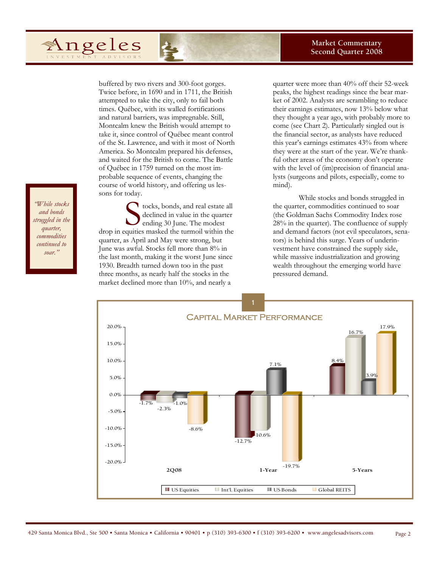#### **Market Commentary Second Quarter 2008**

buffered by two rivers and 300-foot gorges. Twice before, in 1690 and in 1711, the British attempted to take the city, only to fail both times. Québec, with its walled fortifications and natural barriers, was impregnable. Still, Montcalm knew the British would attempt to take it, since control of Québec meant control of the St. Lawrence, and with it most of North America. So Montcalm prepared his defenses, and waited for the British to come. The Battle of Québec in 1759 turned on the most improbable sequence of events, changing the course of world history, and offering us lessons for today.

s tocks, bonds, and real estate all<br>declined in value in the quarter<br>ending 30 June. The modest<br>quities masked the turmoil within the declined in value in the quarter ending 30 June. The modest drop in equities masked the turmoil within the quarter, as April and May were strong, but June was awful. Stocks fell more than 8% in the last month, making it the worst June since 1930. Breadth turned down too in the past three months, as nearly half the stocks in the market declined more than 10%, and nearly a

quarter were more than 40% off their 52-week peaks, the highest readings since the bear market of 2002. Analysts are scrambling to reduce their earnings estimates, now 13% below what they thought a year ago, with probably more to come (see Chart 2). Particularly singled out is the financial sector, as analysts have reduced this year's earnings estimates 43% from where they were at the start of the year. We're thankful other areas of the economy don't operate with the level of (im)precision of financial analysts (surgeons and pilots, especially, come to mind).

While stocks and bonds struggled in the quarter, commodities continued to soar (the Goldman Sachs Commodity Index rose 28% in the quarter). The confluence of supply and demand factors (not evil speculators, senators) is behind this surge. Years of underinvestment have constrained the supply side, while massive industrialization and growing wealth throughout the emerging world have pressured demand.



*While stocks and bonds struggled in the off 20% for the quarter, year, the worst commodities continued to soar.*"

 $\alpha$ *uti of*  $\alpha$ , *as*  $\alpha$ 

Angeles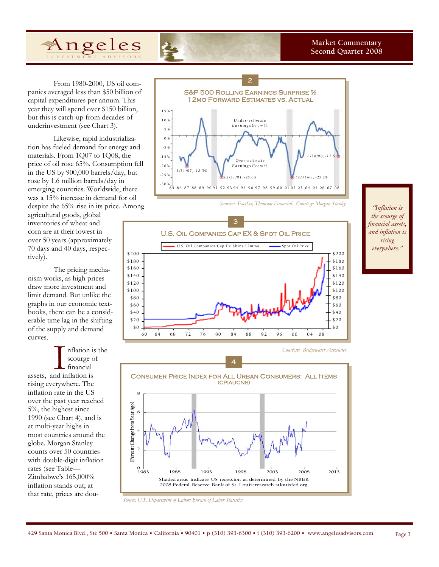

From 1980-2000, US oil companies averaged less than \$50 billion of capital expenditures per annum. This year they will spend over \$150 billion, but this is catch-up from decades of underinvestment (see Chart 3).

Likewise, rapid industrialization has fueled demand for energy and materials. From 1Q07 to 1Q08, the price of oil rose 65%. Consumption fell in the US by 900,000 barrels/day, but rose by 1.6 million barrels/day in emerging countries. Worldwide, there was a 15% increase in demand for oil despite the 65% rise in its price. Among

agricultural goods, global inventories of wheat and corn are at their lowest in over 50 years (approximately 70 days and 40 days, respectively).

The pricing mechanism works, as high prices draw more investment and limit demand. But unlike the graphs in our economic textbooks, there can be a considerable time lag in the shifting of the supply and demand curves.





*Sources: FactSet, Thomson Financial. Courtesy: Morgan Stanley* 



*thation is 11% in the the scourge of quarter and was financial assets, off 20% for the and inflation is year, the worst rising among world everywhere." equity markets."* 





*Source: U.S. Department of Labor: Bureau of Labor Statistics*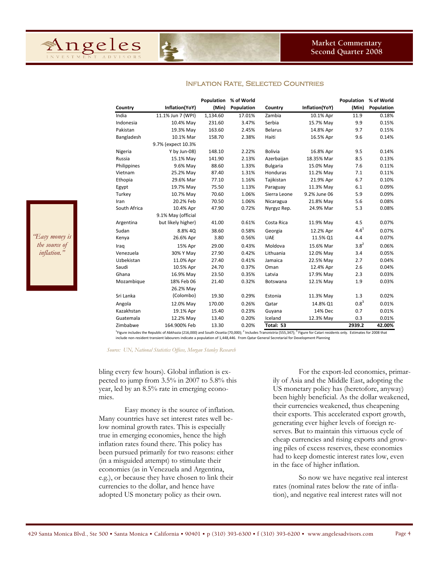

**Population % of World**

| Country      | Inflation(YoY)     | (Min)    | Population | Country         | Inflation(YoY) | (Min)     | Population |
|--------------|--------------------|----------|------------|-----------------|----------------|-----------|------------|
| India        | 11.1% Jun 7 (WPI)  | 1,134.60 | 17.01%     | Zambia          | 10.1% Apr      | 11.9      | 0.18%      |
| Indonesia    | 10.4% May          | 231.60   | 3.47%      | Serbia          | 15.7% May      | 9.9       | 0.15%      |
| Pakistan     | 19.3% May          | 163.60   | 2.45%      | <b>Belarus</b>  | 14.8% Apr      | 9.7       | 0.15%      |
| Bangladesh   | 10.1% Mar          | 158.70   | 2.38%      | Haiti           | 16.5% Apr      | 9.6       | 0.14%      |
|              | 9.7% (expect 10.3% |          |            |                 |                |           |            |
| Nigeria      | Y by Jun-08)       | 148.10   | 2.22%      | <b>Bolivia</b>  | 16.8% Apr      | 9.5       | 0.14%      |
| Russia       | 15.1% May          | 141.90   | 2.13%      | Azerbaijan      | 18.35% Mar     | 8.5       | 0.13%      |
| Philippines  | 9.6% May           | 88.60    | 1.33%      | <b>Bulgaria</b> | 15.0% May      | 7.6       | 0.11%      |
| Vietnam      | 25.2% May          | 87.40    | 1.31%      | Honduras        | 11.2% May      | 7.1       | 0.11%      |
| Ethopia      | 29.6% Mar          | 77.10    | 1.16%      | Tajikistan      | 21.9% Apr      | 6.7       | 0.10%      |
| Egypt        | 19.7% May          | 75.50    | 1.13%      | Paraguay        | 11.3% May      | 6.1       | 0.09%      |
| Turkey       | 10.7% May          | 70.60    | 1.06%      | Sierra Leone    | 9.2% June 06   | 5.9       | 0.09%      |
| Iran         | 20.2% Feb          | 70.50    | 1.06%      | Nicaragua       | 21.8% May      | 5.6       | 0.08%      |
| South Africa | 10.4% Apr          | 47.90    | 0.72%      | Nyrgyz Rep.     | 24.9% Mar      | 5.3       | 0.08%      |
|              | 9.1% May (official |          |            |                 |                |           |            |
| Argentina    | but likely higher) | 41.00    | 0.61%      | Costa Rica      | 11.9% May      | 4.5       | 0.07%      |
| Sudan        | 8.8% 40            | 38.60    | 0.58%      | Georgia         | 12.2% Apr      | $4.4^{1}$ | 0.07%      |
| Kenya        | 26.6% Apr          | 3.80     | 0.56%      | <b>UAE</b>      | 11.5% Q1       | 4.4       | 0.07%      |
| Iraq         | 15% Apr            | 29.00    | 0.43%      | Moldova         | 15.6% Mar      | $3.8^{2}$ | 0.06%      |
| Venezuela    | 30% Y May          | 27.90    | 0.42%      | Lithuania       | 12.0% May      | 3.4       | 0.05%      |
| Uzbekistan   | 11.0% Apr          | 27.40    | 0.41%      | Jamaica         | 22.5% May      | 2.7       | 0.04%      |
| Saudi        | 10.5% Apr          | 24.70    | 0.37%      | Oman            | 12.4% Apr      | 2.6       | 0.04%      |
| Ghana        | 16.9% May          | 23.50    | 0.35%      | Latvia          | 17.9% May      | 2.3       | 0.03%      |
| Mozambique   | 18% Feb 06         | 21.40    | 0.32%      | Botswana        | 12.1% May      | 1.9       | 0.03%      |
|              | 26.2% May          |          |            |                 |                |           |            |
| Sri Lanka    | (Colombo)          | 19.30    | 0.29%      | Estonia         | 11.3% May      | 1.3       | 0.02%      |
| Angola       | 12.0% May          | 170.00   | 0.26%      | Qatar           | 14.8% Q1       | $0.8^{3}$ | 0.01%      |
| Kazakhstan   | 19.1% Apr          | 15.40    | 0.23%      | Guyana          | 14% Dec        | 0.7       | 0.01%      |
| Guatemala    | 12.2% May          | 13.40    | 0.20%      | Iceland         | 12.3% May      | 0.3       | 0.01%      |
| Zimbabwe     | 164.900% Feb       | 13.30    | 0.20%      | Total: 53       |                | 2939.2    | 42.00%     |

### Inflation Rate, Selected Countries

**Population % of World**

<sup>1</sup>Figure includes the Republic of Abkhazia (216,000) and South Ossetia (70,000); <sup>2</sup> Includes Transnistria (555,347); <sup>3</sup> Figure for Catari residents only. Estimates for 2008 that include non‐resident transient labourers indicate a population of 1,448,446. From Qatar General Secretarial for Development Planning

*Source: UN, National Statistics Offices, Morgan Stanley Research* 

*is about to direct* 

Angeles

*mortgage agencies to play a larger "Easy money is the source of that market." inflation."* 

> bling every few hours). Global inflation is expected to jump from 3.5% in 2007 to 5.8% this year, led by an 8.5% rate in emerging economies.

Easy money is the source of inflation. Many countries have set interest rates well below nominal growth rates. This is especially true in emerging economies, hence the high inflation rates found there. This policy has been pursued primarily for two reasons: either (in a misguided attempt) to stimulate their economies (as in Venezuela and Argentina, e.g.), or because they have chosen to link their currencies to the dollar, and hence have adopted US monetary policy as their own.

For the export-led economies, primarily of Asia and the Middle East, adopting the US monetary policy has (heretofore, anyway) been highly beneficial. As the dollar weakened, their currencies weakened, thus cheapening their exports. This accelerated export growth, generating ever higher levels of foreign reserves. But to maintain this virtuous cycle of cheap currencies and rising exports and growing piles of excess reserves, these economies had to keep domestic interest rates low, even in the face of higher inflation.

So now we have negative real interest rates (nominal rates below the rate of inflation), and negative real interest rates will not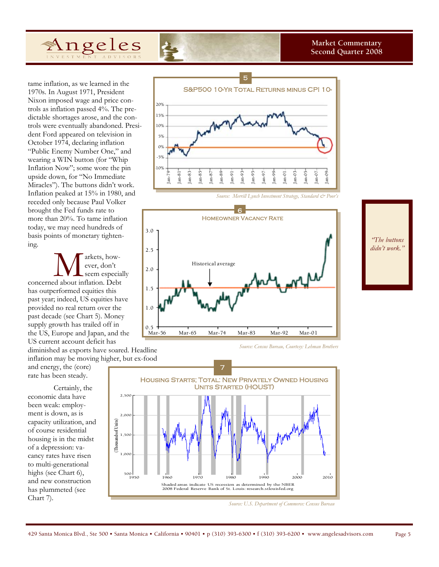

tame inflation, as we learned in the 1970s. In August 1971, President Nixon imposed wage and price controls as inflation passed 4%. The predictable shortages arose, and the controls were eventually abandoned. President Ford appeared on television in October 1974, declaring inflation "Public Enemy Number One," and wearing a WIN button (for "Whip Inflation Now"; some wore the pin upside down, for "No Immediate Miracles"). The buttons didn't work. Inflation peaked at 15% in 1980, and receded only because Paul Volker brought the Fed funds rate to more than 20%. To tame inflation today, we may need hundreds of basis points of monetary tightening.

**M** arkets, how-<br>
ever, don't<br>
seem especial<br>
concerned about inflation. Debt ever, don't seem especially has outperformed equities this past year; indeed, US equities have provided no real return over the past decade (see Chart 5). Money supply growth has trailed off in the US, Europe and Japan, and the US current account deficit has

diminished as exports have soared. Headline inflation may be moving higher, but ex-food

and energy, the (core) rate has been steady.

Certainly, the economic data have been weak: employment is down, as is capacity utilization, and of course residential housing is in the midst of a depression: vacancy rates have risen to multi-generational highs (see Chart 6), and new construction has plummeted (see Chart 7).



*Source: Merrill Lynch Investment Strategy, Standard & Poor's* 



*Source: Census Bureau, Courtesy: Lehman Brothers* 



*Source: U.S. Department of Commerce: Census Bureau* 

*mortgage agencies to play a larger "The buttons* 

*is about to direct* 

*lending role in didn't work."*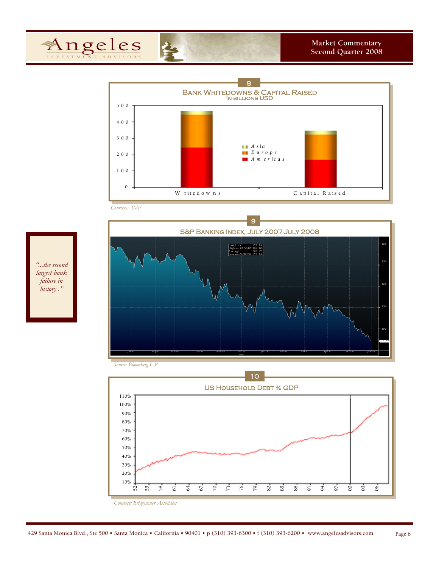



*Courtesy: IMF* 





*military hero." "...the second largest bank failure in history ."* 

*"Nathanael*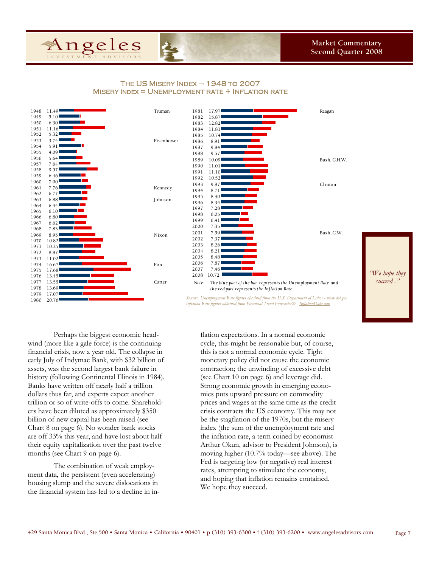

### The US Misery Index – 1948 to 2007  $M$ ISERY INDEX = UNEMPLOYMENT RATE  $+$  INFLATION RATE





*Source: Unemployment Rate figures obtained from the U.S. Department of Labor - <u>www.do</u> Inflation Rate figures obtained from Financial Trend Forecaster® - InflationData.com* 

Perhaps the biggest economic headwind (more like a gale force) is the continuing financial crisis, now a year old. The collapse in early July of Indymac Bank, with \$32 billion of assets, was the second largest bank failure in history (following Continental Illinois in 1984). Banks have written off nearly half a trillion dollars thus far, and experts expect another trillion or so of write-offs to come. Shareholders have been diluted as approximately \$350 billion of new capital has been raised (see Chart 8 on page 6). No wonder bank stocks are off 33% this year, and have lost about half their equity capitalization over the past twelve months (see Chart 9 on page 6).

The combination of weak employment data, the persistent (even accelerating) housing slump and the severe dislocations in the financial system has led to a decline in inflation expectations. In a normal economic cycle, this might be reasonable but, of course, this is not a normal economic cycle. Tight monetary policy did not cause the economic contraction; the unwinding of excessive debt (see Chart 10 on page 6) and leverage did. Strong economic growth in emerging economies puts upward pressure on commodity prices and wages at the same time as the credit crisis contracts the US economy. This may not be the stagflation of the 1970s, but the misery index (the sum of the unemployment rate and the inflation rate, a term coined by economist Arthur Okun, advisor to President Johnson), is moving higher (10.7% today—see above). The Fed is targeting low (or negative) real interest rates, attempting to stimulate the economy, and hoping that inflation remains contained. We hope they succeed.

429 Santa Monica Blvd., Ste 500 • Santa Monica • California • 90401 • p (310) 393-6300 • f (310) 393-6200 • www.angelesadvisors.com Page 7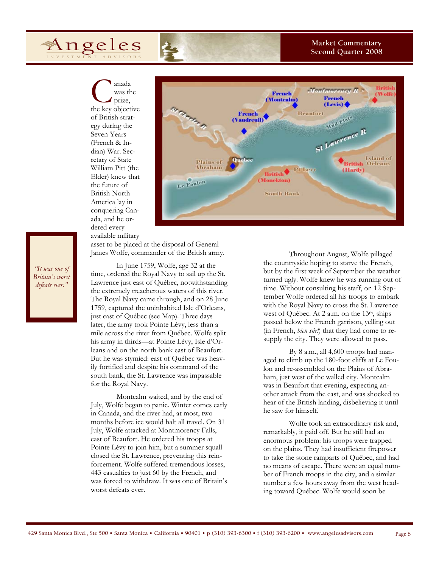Angeles

**Market Commentary Second Quarter 2008** 

C<br>
was the<br>
prize,<br>
the key objective was the prize, of British strategy during the Seven Years (French & Indian) War. Secretary of State William Pitt (the Elder) knew that the future of British North America lay in conquering Canada, and he ordered every available military



*"Nathanael* 

asset to be placed at the disposal of General James Wolfe, commander of the British army.

In June 1759, Wolfe, age 32 at the time, ordered the Royal Navy to sail up the St. Lawrence just east of Québec, notwithstanding the extremely treacherous waters of this river. The Royal Navy came through, and on 28 June 1759, captured the uninhabited Isle d'Orleans, just east of Québec (see Map). Three days later, the army took Pointe Lévy, less than a mile across the river from Québec. Wolfe split his army in thirds—at Pointe Lévy, Isle d'Orleans and on the north bank east of Beaufort. But he was stymied: east of Québec was heavily fortified and despite his command of the south bank, the St. Lawrence was impassable for the Royal Navy.

Montcalm waited, and by the end of July, Wolfe began to panic. Winter comes early in Canada, and the river had, at most, two months before ice would halt all travel. On 31 July, Wolfe attacked at Montmorency Falls, east of Beaufort. He ordered his troops at Pointe Lévy to join him, but a summer squall closed the St. Lawrence, preventing this reinforcement. Wolfe suffered tremendous losses, 443 casualties to just 60 by the French, and was forced to withdraw. It was one of Britain's worst defeats ever.



Throughout August, Wolfe pillaged the countryside hoping to starve the French, but by the first week of September the weather turned ugly. Wolfe knew he was running out of time. Without consulting his staff, on 12 September Wolfe ordered all his troops to embark with the Royal Navy to cross the St. Lawrence west of Québec. At 2 a.m. on the 13<sup>th</sup>, ships passed below the French garrison, yelling out (in French, *bien sûr!*) that they had come to resupply the city. They were allowed to pass.

By 8 a.m., all 4,600 troops had managed to climb up the 180-foot cliffs at Le Foulon and re-assembled on the Plains of Abraham, just west of the walled city. Montcalm was in Beaufort that evening, expecting another attack from the east, and was shocked to hear of the British landing, disbelieving it until he saw for himself.

Wolfe took an extraordinary risk and, remarkably, it paid off. But he still had an enormous problem: his troops were trapped on the plains. They had insufficient firepower to take the stone ramparts of Québec, and had no means of escape. There were an equal number of French troops in the city, and a similar number a few hours away from the west heading toward Québec. Wolfe would soon be